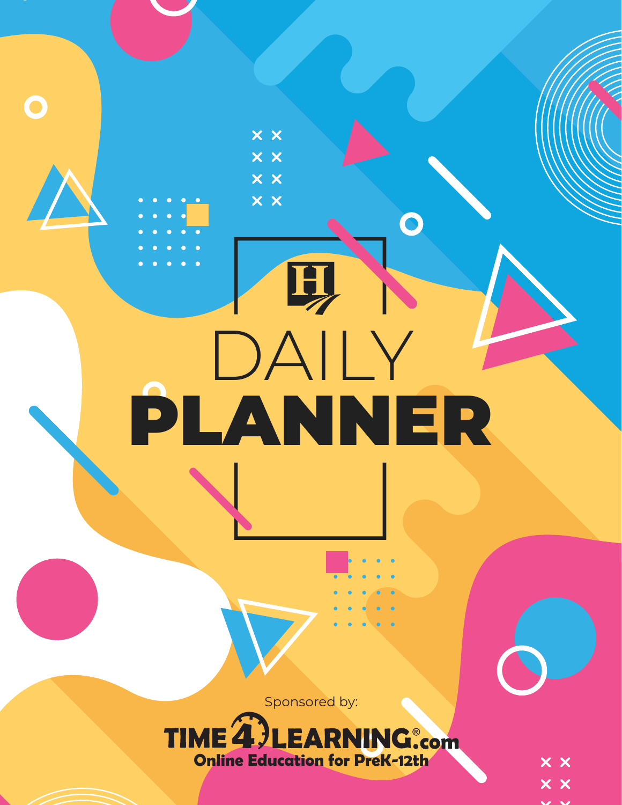Sponsored by:

DAILY

印

 $\times$   $\times$ 

**XX** 

x x

 $\times$   $\times$ 

 $\mathbf O$ 

PLANNER



 $\times$   $\times$  $\times$   $\times$ 

 $\mathbf{v}$  and  $\mathbf{v}$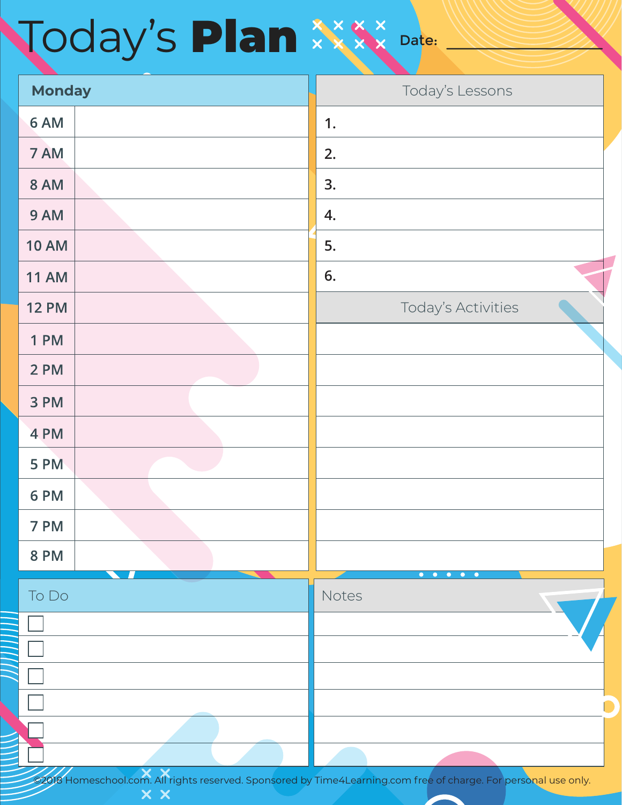### Date: Today's Plan

| <b>Monday</b> | Today's Lessons                                                     |
|---------------|---------------------------------------------------------------------|
| 6 AM          | 1.                                                                  |
| 7 AM          | 2.                                                                  |
| <b>8 AM</b>   | 3.                                                                  |
| 9 AM          | 4.                                                                  |
| <b>10 AM</b>  | 5.                                                                  |
| <b>11 AM</b>  | 6.                                                                  |
| <b>12 PM</b>  | Today's Activities                                                  |
| 1 PM          |                                                                     |
| 2 PM          |                                                                     |
| 3 PM          |                                                                     |
| 4 PM          |                                                                     |
| 5 PM          |                                                                     |
| 6 PM          |                                                                     |
| 7 PM          |                                                                     |
| <b>8 PM</b>   |                                                                     |
| To Do         | $\bullet$ $\bullet$<br>$\bullet$<br>$\bullet$<br>$\bullet$<br>Notes |
|               |                                                                     |
|               |                                                                     |
|               |                                                                     |
|               |                                                                     |
|               |                                                                     |
| $X$ $X$       |                                                                     |

All rights reserved. Sponsored by Time4Learning.com free of charge. For personal use only.  $\times$   $\times$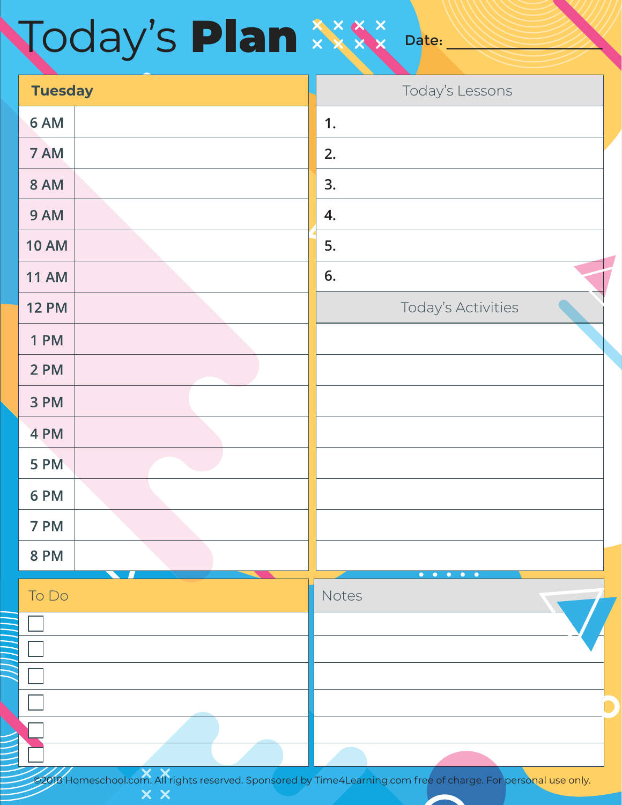# Today's Plan

| <b>Tuesday</b> |                                    | Today's Lessons                                                         |
|----------------|------------------------------------|-------------------------------------------------------------------------|
| 6 AM           |                                    | 1.                                                                      |
| 7 AM           |                                    | 2.                                                                      |
| <b>8 AM</b>    |                                    | 3.                                                                      |
| 9 AM           |                                    | 4.                                                                      |
| <b>10 AM</b>   |                                    | 5.                                                                      |
| <b>11 AM</b>   |                                    | 6.                                                                      |
| <b>12 PM</b>   |                                    | Today's Activities                                                      |
| <b>1 PM</b>    |                                    |                                                                         |
| 2 PM           |                                    |                                                                         |
| 3 PM           |                                    |                                                                         |
| 4 PM           |                                    |                                                                         |
| 5 PM           |                                    |                                                                         |
| 6 PM           |                                    |                                                                         |
| 7 PM           |                                    |                                                                         |
| <b>8 PM</b>    |                                    |                                                                         |
| To Do          |                                    | $\bullet \quad \bullet$<br>$\bullet$<br>$\bullet$<br>$\bullet$<br>Notes |
|                |                                    |                                                                         |
|                |                                    |                                                                         |
|                |                                    |                                                                         |
|                |                                    |                                                                         |
|                |                                    |                                                                         |
| ////           | $\overline{\mathbf{x}} \mathbf{x}$ |                                                                         |

Date:

om. All rights reserved. Sponsored by Time4Learning.com free of charge. For personal use only.  $\times$   $\times$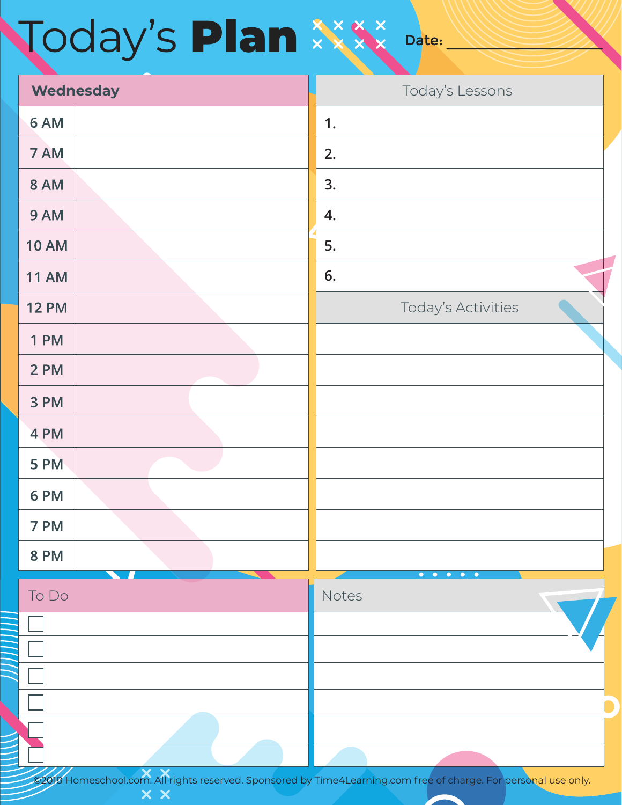# Today's Plan

|              | <b>Wednesday</b>                   | Today's Lessons                                                            |
|--------------|------------------------------------|----------------------------------------------------------------------------|
| 6 AM         |                                    | 1.                                                                         |
| 7 AM         |                                    | 2.                                                                         |
| <b>8 AM</b>  |                                    | 3.                                                                         |
| 9 AM         |                                    | 4.                                                                         |
| <b>10 AM</b> |                                    | 5.                                                                         |
| <b>11 AM</b> |                                    | 6.                                                                         |
| <b>12 PM</b> |                                    | Today's Activities                                                         |
| <b>1 PM</b>  |                                    |                                                                            |
| 2 PM         |                                    |                                                                            |
| 3 PM         |                                    |                                                                            |
| 4 PM         |                                    |                                                                            |
| 5 PM         |                                    |                                                                            |
| 6 PM         |                                    |                                                                            |
| 7 PM         |                                    |                                                                            |
| <b>8 PM</b>  |                                    |                                                                            |
| To Do        |                                    | $\bullet\quad\bullet\quad$<br>$\bullet$<br>$\bullet$<br>$\bullet$<br>Notes |
|              |                                    |                                                                            |
|              |                                    |                                                                            |
|              |                                    |                                                                            |
|              |                                    |                                                                            |
|              |                                    |                                                                            |
| ////         | $\overline{\mathbf{x} \mathbf{x}}$ |                                                                            |

Date:

 ©2018 Homeschool.com. All rights reserved. Sponsored by Time4Learning.com free of charge. For personal use only.  $\times$   $\times$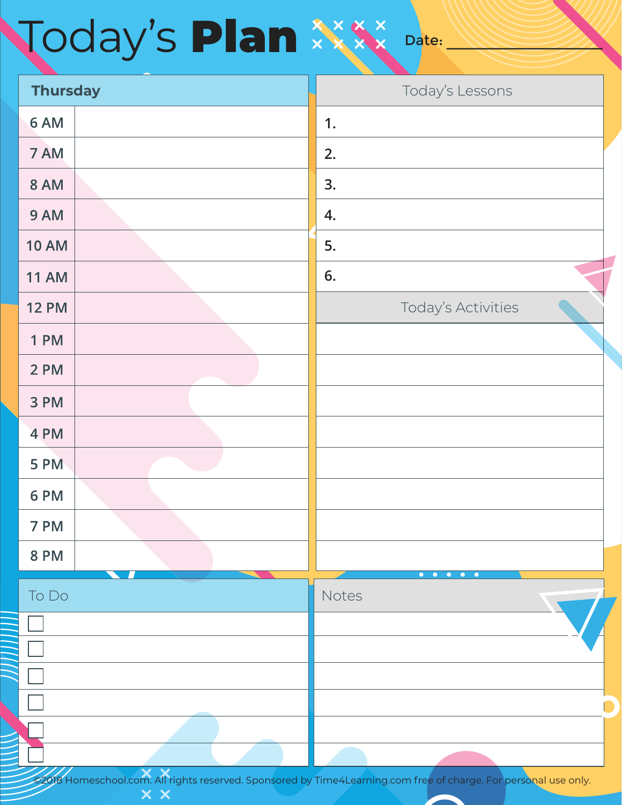### Date: Today's Plan

| <b>Thursday</b> |                                    |       | Today's Lessons                                                       |
|-----------------|------------------------------------|-------|-----------------------------------------------------------------------|
| 6 AM            |                                    | 1.    |                                                                       |
| 7 AM            |                                    | 2.    |                                                                       |
| <b>8 AM</b>     |                                    | 3.    |                                                                       |
| 9 AM            |                                    | 4.    |                                                                       |
| <b>10 AM</b>    |                                    | 5.    |                                                                       |
| <b>11 AM</b>    |                                    | 6.    |                                                                       |
| <b>12 PM</b>    |                                    |       | Today's Activities                                                    |
| <b>1 PM</b>     |                                    |       |                                                                       |
| 2 PM            |                                    |       |                                                                       |
| 3 PM            |                                    |       |                                                                       |
| 4 PM            |                                    |       |                                                                       |
| 5 PM            |                                    |       |                                                                       |
| 6 PM            |                                    |       |                                                                       |
| 7 PM            |                                    |       |                                                                       |
| <b>8 PM</b>     |                                    |       |                                                                       |
| To Do           |                                    | Notes | $\begin{array}{cccccccccccccc} 0 & 0 & 0 & 0 & 0 & 0 & 0 \end{array}$ |
|                 |                                    |       |                                                                       |
|                 |                                    |       |                                                                       |
|                 |                                    |       |                                                                       |
|                 |                                    |       |                                                                       |
|                 |                                    |       |                                                                       |
| ////            | $\overline{\mathbf{x} \mathbf{x}}$ |       |                                                                       |

om. All rights reserved. Sponsored by Time4Learning.com free of charge. For <mark>personal use only.</mark>  $\times$   $\times$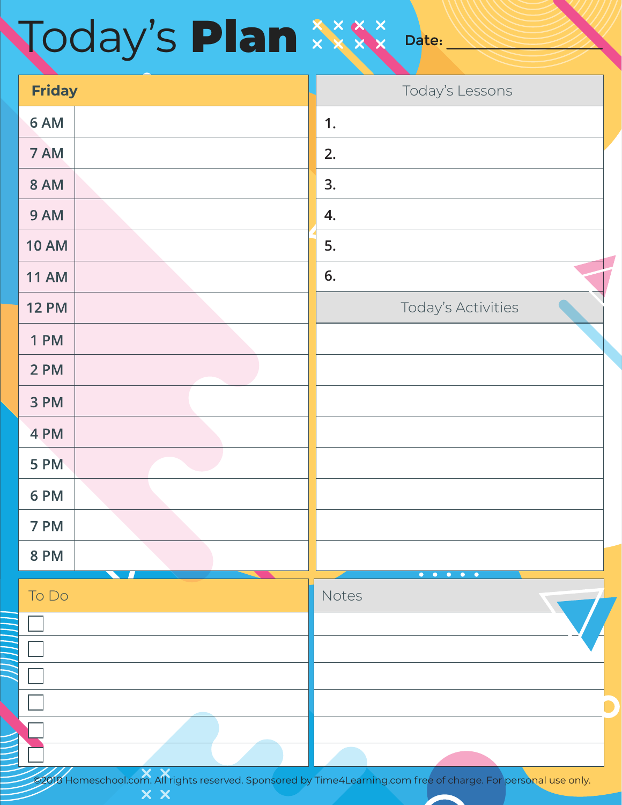# **Noday's Plan**

**Friday The Existence of the Contract of Contract Contract of Today's Lessons** 6 AM **1.** 7 AM **2.** 8 AM **3.** 9 AM **4. 10 AM 5. 11 AM 6. 12 PM** Today's Activities 1 PM 2 PM 3 PM 4 PM 5 PM 6 PM 7 PM **8 PM** To DoNotes

Date:

 ©2018 Homeschool.com. All rights reserved. Sponsored by Time4Learning.com free of charge. For personal use only.  $\times$   $\times$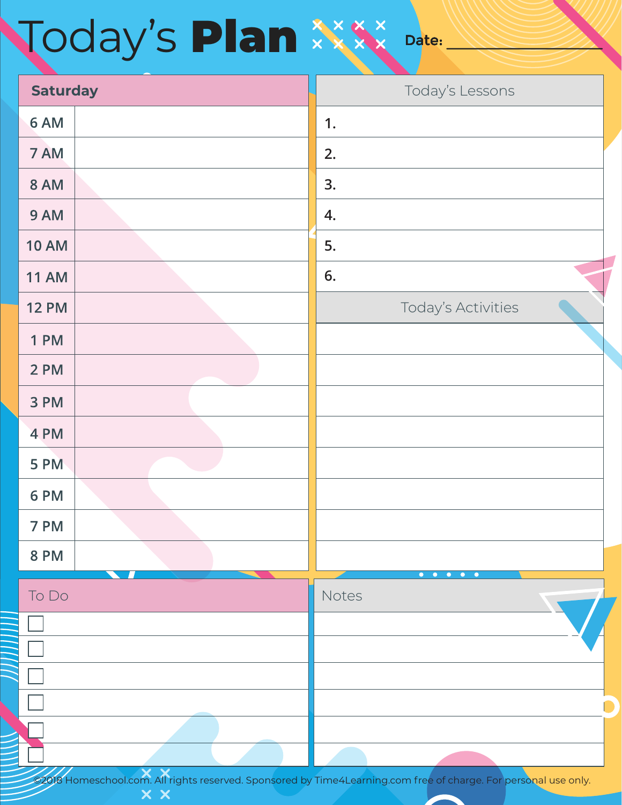# Today's Plan

| <b>Saturday</b> |                                     | Today's Lessons                                                               |
|-----------------|-------------------------------------|-------------------------------------------------------------------------------|
| 6 AM            |                                     | 1.                                                                            |
| 7 AM            |                                     | 2.                                                                            |
| <b>8 AM</b>     |                                     | 3.                                                                            |
| 9 AM            |                                     | 4.                                                                            |
| <b>10 AM</b>    |                                     | 5.                                                                            |
| <b>11 AM</b>    |                                     | 6.                                                                            |
| <b>12 PM</b>    |                                     | Today's Activities                                                            |
| <b>1 PM</b>     |                                     |                                                                               |
| 2 PM            |                                     |                                                                               |
| 3 PM            |                                     |                                                                               |
| 4 PM            |                                     |                                                                               |
| 5 PM            |                                     |                                                                               |
| 6 PM            |                                     |                                                                               |
| 7 PM            |                                     |                                                                               |
| <b>8 PM</b>     |                                     |                                                                               |
| To Do           |                                     | $\bullet\qquad \bullet\qquad$<br>$\bullet$<br>$\bullet$<br>$\bullet$<br>Notes |
|                 |                                     |                                                                               |
|                 |                                     |                                                                               |
|                 |                                     |                                                                               |
|                 |                                     |                                                                               |
|                 |                                     |                                                                               |
| ////            | $\overline{\mathbf{x}\ \mathbf{x}}$ |                                                                               |

Date:

 ©2018 Homeschool.com. All rights reserved. Sponsored by Time4Learning.com free of charge. For personal use only.  $\times$   $\times$